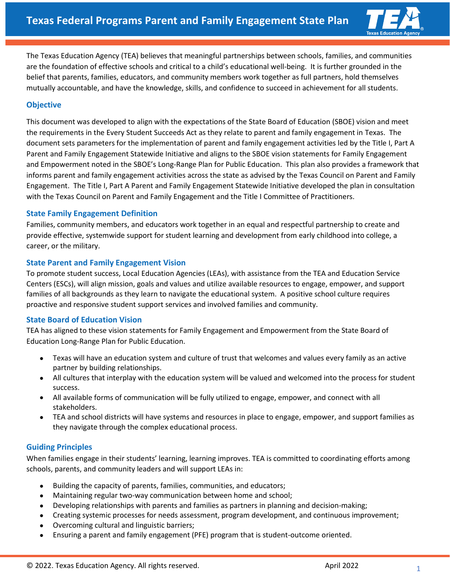

The Texas Education Agency (TEA) believes that meaningful partnerships between schools, families, and communities are the foundation of effective schools and critical to a child's educational well-being. It is further grounded in the belief that parents, families, educators, and community members work together as full partners, hold themselves mutually accountable, and have the knowledge, skills, and confidence to succeed in achievement for all students.

# **Objective**

This document was developed to align with the expectations of the State Board of Education (SBOE) vision and meet the requirements in the Every Student Succeeds Act as they relate to parent and family engagement in Texas. The document sets parameters for the implementation of parent and family engagement activities led by the Title I, Part A Parent and Family Engagement Statewide Initiative and aligns to the SBOE vision statements for Family Engagement and Empowerment noted in the SBOE's Long-Range Plan for Public Education. This plan also provides a framework that informs parent and family engagement activities across the state as advised by the Texas Council on Parent and Family Engagement. The Title I, Part A Parent and Family Engagement Statewide Initiative developed the plan in consultation with the Texas Council on Parent and Family Engagement and the Title I Committee of Practitioners.

### **State Family Engagement Definition**

Families, community members, and educators work together in an equal and respectful partnership to create and provide effective, systemwide support for student learning and development from early childhood into college, a career, or the military.

### **State Parent and Family Engagement Vision**

To promote student success, Local Education Agencies (LEAs), with assistance from the TEA and Education Service Centers (ESCs), will align mission, goals and values and utilize available resources to engage, empower, and support families of all backgrounds as they learn to navigate the educational system. A positive school culture requires proactive and responsive student support services and involved families and community.

## **State Board of Education Vision**

TEA has aligned to these vision statements for Family Engagement and Empowerment from the State Board of Education Long-Range Plan for Public Education.

- Texas will have an education system and culture of trust that welcomes and values every family as an active partner by building relationships.
- All cultures that interplay with the education system will be valued and welcomed into the process for student success.
- All available forms of communication will be fully utilized to engage, empower, and connect with all stakeholders.
- TEA and school districts will have systems and resources in place to engage, empower, and support families as they navigate through the complex educational process.

## **Guiding Principles**

When families engage in their students' learning, learning improves. TEA is committed to coordinating efforts among schools, parents, and community leaders and will support LEAs in:

- Building the capacity of parents, families, communities, and educators;
- Maintaining regular two-way communication between home and school;
- Developing relationships with parents and families as partners in planning and decision-making;
- Creating systemic processes for needs assessment, program development, and continuous improvement;
- Overcoming cultural and linguistic barriers;
- Ensuring a parent and family engagement (PFE) program that is student-outcome oriented.